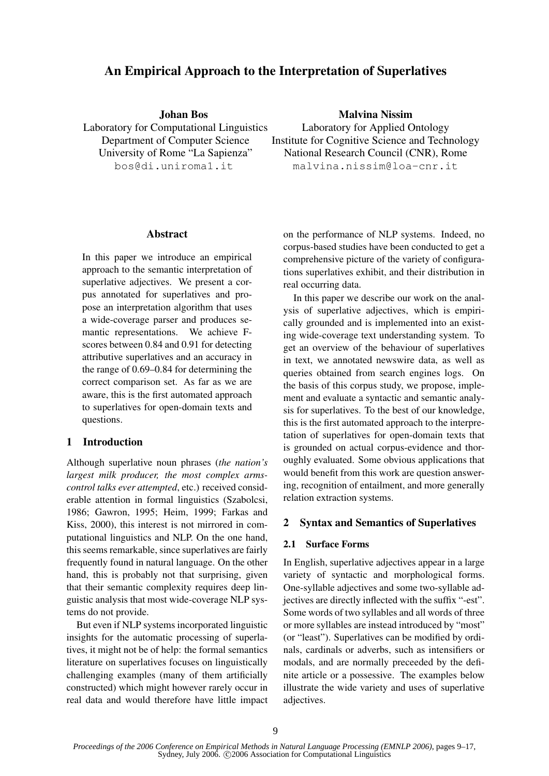# An Empirical Approach to the Interpretation of Superlatives

Johan Bos

Laboratory for Computational Linguistics Department of Computer Science University of Rome "La Sapienza" bos@di.uniroma1.it

Malvina Nissim

Laboratory for Applied Ontology Institute for Cognitive Science and Technology National Research Council (CNR), Rome malvina.nissim@loa-cnr.it

#### Abstract

In this paper we introduce an empirical approach to the semantic interpretation of superlative adjectives. We present a corpus annotated for superlatives and propose an interpretation algorithm that uses a wide-coverage parser and produces semantic representations. We achieve Fscores between 0.84 and 0.91 for detecting attributive superlatives and an accuracy in the range of 0.69–0.84 for determining the correct comparison set. As far as we are aware, this is the first automated approach to superlatives for open-domain texts and questions.

# 1 Introduction

Although superlative noun phrases (*the nation's largest milk producer, the most complex armscontrol talks ever attempted*, etc.) received considerable attention in formal linguistics (Szabolcsi, 1986; Gawron, 1995; Heim, 1999; Farkas and Kiss, 2000), this interest is not mirrored in computational linguistics and NLP. On the one hand, this seems remarkable, since superlatives are fairly frequently found in natural language. On the other hand, this is probably not that surprising, given that their semantic complexity requires deep linguistic analysis that most wide-coverage NLP systems do not provide.

But even if NLP systems incorporated linguistic insights for the automatic processing of superlatives, it might not be of help: the formal semantics literature on superlatives focuses on linguistically challenging examples (many of them artificially constructed) which might however rarely occur in real data and would therefore have little impact

on the performance of NLP systems. Indeed, no corpus-based studies have been conducted to get a comprehensive picture of the variety of configurations superlatives exhibit, and their distribution in real occurring data.

In this paper we describe our work on the analysis of superlative adjectives, which is empirically grounded and is implemented into an existing wide-coverage text understanding system. To get an overview of the behaviour of superlatives in text, we annotated newswire data, as well as queries obtained from search engines logs. On the basis of this corpus study, we propose, implement and evaluate a syntactic and semantic analysis for superlatives. To the best of our knowledge, this is the first automated approach to the interpretation of superlatives for open-domain texts that is grounded on actual corpus-evidence and thoroughly evaluated. Some obvious applications that would benefit from this work are question answering, recognition of entailment, and more generally relation extraction systems.

# 2 Syntax and Semantics of Superlatives

# 2.1 Surface Forms

In English, superlative adjectives appear in a large variety of syntactic and morphological forms. One-syllable adjectives and some two-syllable adjectives are directly inflected with the suffix "-est". Some words of two syllables and all words of three or more syllables are instead introduced by "most" (or "least"). Superlatives can be modified by ordinals, cardinals or adverbs, such as intensifiers or modals, and are normally preceeded by the definite article or a possessive. The examples below illustrate the wide variety and uses of superlative adjectives.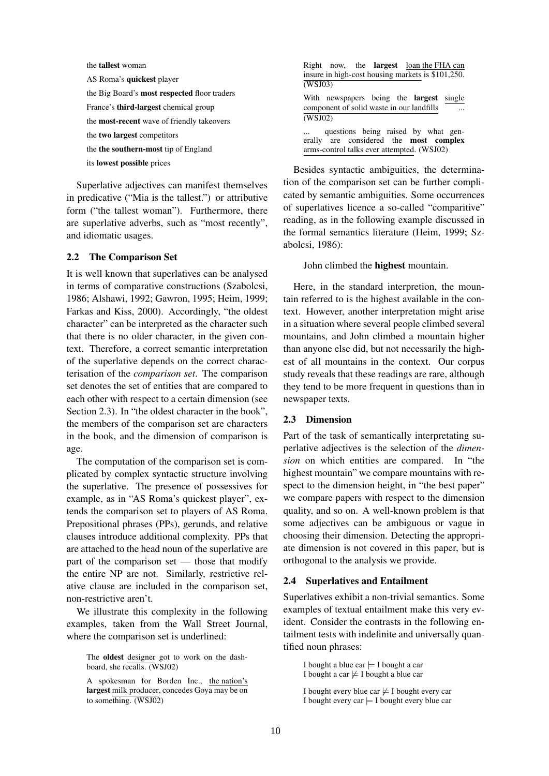the tallest woman AS Roma's quickest player the Big Board's most respected floor traders France's third-largest chemical group the most-recent wave of friendly takeovers the two largest competitors the the southern-most tip of England its lowest possible prices

Superlative adjectives can manifest themselves in predicative ("Mia is the tallest.") or attributive form ("the tallest woman"). Furthermore, there are superlative adverbs, such as "most recently", and idiomatic usages.

#### 2.2 The Comparison Set

It is well known that superlatives can be analysed in terms of comparative constructions (Szabolcsi, 1986; Alshawi, 1992; Gawron, 1995; Heim, 1999; Farkas and Kiss, 2000). Accordingly, "the oldest character" can be interpreted as the character such that there is no older character, in the given context. Therefore, a correct semantic interpretation of the superlative depends on the correct characterisation of the *comparison set*. The comparison set denotes the set of entities that are compared to each other with respect to a certain dimension (see Section 2.3). In "the oldest character in the book", the members of the comparison set are characters in the book, and the dimension of comparison is age.

The computation of the comparison set is complicated by complex syntactic structure involving the superlative. The presence of possessives for example, as in "AS Roma's quickest player", extends the comparison set to players of AS Roma. Prepositional phrases (PPs), gerunds, and relative clauses introduce additional complexity. PPs that are attached to the head noun of the superlative are part of the comparison set — those that modify the entire NP are not. Similarly, restrictive relative clause are included in the comparison set, non-restrictive aren't.

We illustrate this complexity in the following examples, taken from the Wall Street Journal, where the comparison set is underlined:

| Right now, the <b>largest</b> loan the FHA can<br>insure in high-cost housing markets is \$101,250.<br>(WSJ03)                     |
|------------------------------------------------------------------------------------------------------------------------------------|
| With newspapers being the <b>largest</b> single<br>component of solid waste in our landfills<br>(WSJ02)                            |
| questions being raised by what gen-<br>erally are considered the <b>most</b> complex<br>arms-control talks ever attempted. (WSJ02) |

Besides syntactic ambiguities, the determination of the comparison set can be further complicated by semantic ambiguities. Some occurrences of superlatives licence a so-called "comparitive" reading, as in the following example discussed in the formal semantics literature (Heim, 1999; Szabolcsi, 1986):

#### John climbed the highest mountain.

Here, in the standard interpretion, the mountain referred to is the highest available in the context. However, another interpretation might arise in a situation where several people climbed several mountains, and John climbed a mountain higher than anyone else did, but not necessarily the highest of all mountains in the context. Our corpus study reveals that these readings are rare, although they tend to be more frequent in questions than in newspaper texts.

### 2.3 Dimension

Part of the task of semantically interpretating superlative adjectives is the selection of the *dimension* on which entities are compared. In "the highest mountain" we compare mountains with respect to the dimension height, in "the best paper" we compare papers with respect to the dimension quality, and so on. A well-known problem is that some adjectives can be ambiguous or vague in choosing their dimension. Detecting the appropriate dimension is not covered in this paper, but is orthogonal to the analysis we provide.

#### 2.4 Superlatives and Entailment

Superlatives exhibit a non-trivial semantics. Some examples of textual entailment make this very evident. Consider the contrasts in the following entailment tests with indefinite and universally quantified noun phrases:

I bought a blue car  $\models$  I bought a car I bought a car  $\not\models$  I bought a blue car

I bought every blue car  $\not\models$  I bought every car I bought every car  $\models$  I bought every blue car

The oldest designer got to work on the dashboard, she recalls. (WSJ02)

A spokesman for Borden Inc., the nation's largest milk producer, concedes Goya may be on to something. (WSJ02)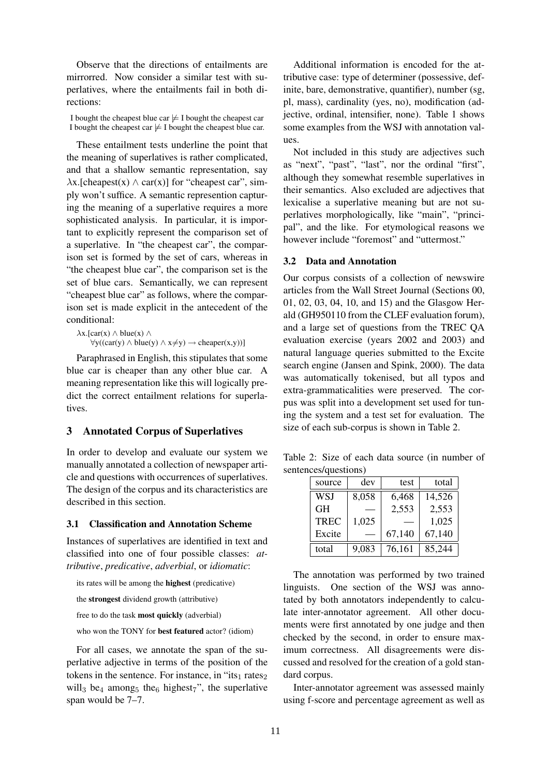Observe that the directions of entailments are mirrorred. Now consider a similar test with superlatives, where the entailments fail in both directions:

I bought the cheapest blue car  $\not\models$  I bought the cheapest car I bought the cheapest car  $\not\models$  I bought the cheapest blue car.

These entailment tests underline the point that the meaning of superlatives is rather complicated, and that a shallow semantic representation, say  $\lambda$ x.[cheapest(x)  $\wedge$  car(x)] for "cheapest car", simply won't suffice. A semantic represention capturing the meaning of a superlative requires a more sophisticated analysis. In particular, it is important to explicitly represent the comparison set of a superlative. In "the cheapest car", the comparison set is formed by the set of cars, whereas in "the cheapest blue car", the comparison set is the set of blue cars. Semantically, we can represent "cheapest blue car" as follows, where the comparison set is made explicit in the antecedent of the conditional:

 $\lambda$ x.[car(x)  $\wedge$  blue(x)  $\wedge$  $\forall y((car(y) \land blue(y) \land x \neq y) \rightarrow cheaper(x,y))]$ 

Paraphrased in English, this stipulates that some blue car is cheaper than any other blue car. A meaning representation like this will logically predict the correct entailment relations for superlatives.

# 3 Annotated Corpus of Superlatives

In order to develop and evaluate our system we manually annotated a collection of newspaper article and questions with occurrences of superlatives. The design of the corpus and its characteristics are described in this section.

## 3.1 Classification and Annotation Scheme

Instances of superlatives are identified in text and classified into one of four possible classes: *attributive*, *predicative*, *adverbial*, or *idiomatic*:

its rates will be among the highest (predicative)

the strongest dividend growth (attributive)

free to do the task most quickly (adverbial)

who won the TONY for **best featured** actor? (idiom)

For all cases, we annotate the span of the superlative adjective in terms of the position of the tokens in the sentence. For instance, in "its<sub>1</sub> rates<sub>2</sub> will<sub>3</sub> be<sub>4</sub> among<sub>5</sub> the<sub>6</sub> highest<sub>7</sub>", the superlative span would be 7–7.

Additional information is encoded for the attributive case: type of determiner (possessive, definite, bare, demonstrative, quantifier), number (sg, pl, mass), cardinality (yes, no), modification (adjective, ordinal, intensifier, none). Table 1 shows some examples from the WSJ with annotation values.

Not included in this study are adjectives such as "next", "past", "last", nor the ordinal "first", although they somewhat resemble superlatives in their semantics. Also excluded are adjectives that lexicalise a superlative meaning but are not superlatives morphologically, like "main", "principal", and the like. For etymological reasons we however include "foremost" and "uttermost."

#### 3.2 Data and Annotation

Our corpus consists of a collection of newswire articles from the Wall Street Journal (Sections 00, 01, 02, 03, 04, 10, and 15) and the Glasgow Herald (GH950110 from the CLEF evaluation forum), and a large set of questions from the TREC QA evaluation exercise (years 2002 and 2003) and natural language queries submitted to the Excite search engine (Jansen and Spink, 2000). The data was automatically tokenised, but all typos and extra-grammaticalities were preserved. The corpus was split into a development set used for tuning the system and a test set for evaluation. The size of each sub-corpus is shown in Table 2.

Table 2: Size of each data source (in number of sentences/questions)

| source      | dev   | test   | total  |
|-------------|-------|--------|--------|
| WSJ         | 8,058 | 6,468  | 14,526 |
| <b>GH</b>   |       | 2,553  | 2,553  |
| <b>TREC</b> | 1,025 |        | 1,025  |
| Excite      |       | 67,140 | 67,140 |
| total       | 9.083 | 76,161 | 85,244 |

The annotation was performed by two trained linguists. One section of the WSJ was annotated by both annotators independently to calculate inter-annotator agreement. All other documents were first annotated by one judge and then checked by the second, in order to ensure maximum correctness. All disagreements were discussed and resolved for the creation of a gold standard corpus.

Inter-annotator agreement was assessed mainly using f-score and percentage agreement as well as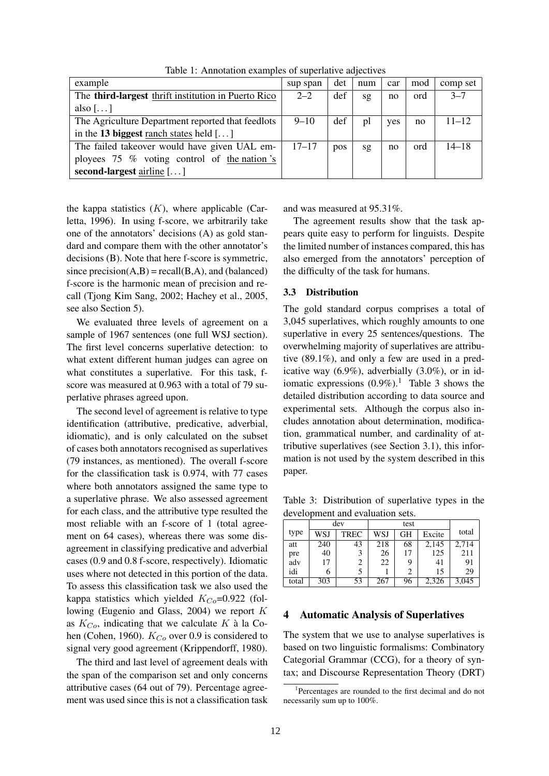| example                                                    | sup span  | det | num | car | mod | comp set  |
|------------------------------------------------------------|-----------|-----|-----|-----|-----|-----------|
| The <b>third-largest</b> thrift institution in Puerto Rico | $2 - 2$   | def | sg  | no  | ord | $3 - 7$   |
| also $[\dots]$                                             |           |     |     |     |     |           |
| The Agriculture Department reported that feedlots          | $9 - 10$  | def | pl  | yes | no  | $11 - 12$ |
| in the 13 biggest ranch states held $[\dots]$              |           |     |     |     |     |           |
| The failed takeover would have given UAL em-               | $17 - 17$ | pos | sg  | no  | ord | $14 - 18$ |
| ployees $75\%$ voting control of the nation's              |           |     |     |     |     |           |
| second-largest airline $[\dots]$                           |           |     |     |     |     |           |

Table 1: Annotation examples of superlative adjectives

the kappa statistics  $(K)$ , where applicable (Carletta, 1996). In using f-score, we arbitrarily take one of the annotators' decisions (A) as gold standard and compare them with the other annotator's decisions (B). Note that here f-score is symmetric, since precision $(A,B)$  = recall $(B,A)$ , and (balanced) f-score is the harmonic mean of precision and recall (Tjong Kim Sang, 2002; Hachey et al., 2005, see also Section 5).

We evaluated three levels of agreement on a sample of 1967 sentences (one full WSJ section). The first level concerns superlative detection: to what extent different human judges can agree on what constitutes a superlative. For this task, fscore was measured at 0.963 with a total of 79 superlative phrases agreed upon.

The second level of agreement is relative to type identification (attributive, predicative, adverbial, idiomatic), and is only calculated on the subset of cases both annotators recognised as superlatives (79 instances, as mentioned). The overall f-score for the classification task is 0.974, with 77 cases where both annotators assigned the same type to a superlative phrase. We also assessed agreement for each class, and the attributive type resulted the most reliable with an f-score of 1 (total agreement on 64 cases), whereas there was some disagreement in classifying predicative and adverbial cases (0.9 and 0.8 f-score, respectively). Idiomatic uses where not detected in this portion of the data. To assess this classification task we also used the kappa statistics which yielded  $K_{Co}$ =0.922 (following (Eugenio and Glass, 2004) we report  $K$ as  $K_{Co}$ , indicating that we calculate K à la Cohen (Cohen, 1960).  $K_{Co}$  over 0.9 is considered to signal very good agreement (Krippendorff, 1980).

The third and last level of agreement deals with the span of the comparison set and only concerns attributive cases (64 out of 79). Percentage agreement was used since this is not a classification task and was measured at 95.31%.

The agreement results show that the task appears quite easy to perform for linguists. Despite the limited number of instances compared, this has also emerged from the annotators' perception of the difficulty of the task for humans.

#### 3.3 Distribution

The gold standard corpus comprises a total of 3,045 superlatives, which roughly amounts to one superlative in every 25 sentences/questions. The overwhelming majority of superlatives are attributive (89.1%), and only a few are used in a predicative way (6.9%), adverbially (3.0%), or in idiomatic expressions  $(0.9\%)$ .<sup>1</sup> Table 3 shows the detailed distribution according to data source and experimental sets. Although the corpus also includes annotation about determination, modification, grammatical number, and cardinality of attributive superlatives (see Section 3.1), this information is not used by the system described in this paper.

Table 3: Distribution of superlative types in the development and evaluation sets.

|       |     | dev         |     |    |        |       |
|-------|-----|-------------|-----|----|--------|-------|
| type  | WSJ | <b>TREC</b> | WSJ | GН | Excite | total |
| att   | 240 | 43          | 218 | 68 | 2,145  | 2,714 |
| pre   | 40  |             | 26  | 17 | 125    | 211   |
| adv   | 17  |             | 22  | 9  | 41     | 91    |
| idi   |     |             |     | 2  | 15     | 29    |
| total | 303 | 53          | 267 | 96 | 2,326  | 3,045 |

#### 4 Automatic Analysis of Superlatives

The system that we use to analyse superlatives is based on two linguistic formalisms: Combinatory Categorial Grammar (CCG), for a theory of syntax; and Discourse Representation Theory (DRT)

<sup>1</sup> Percentages are rounded to the first decimal and do not necessarily sum up to 100%.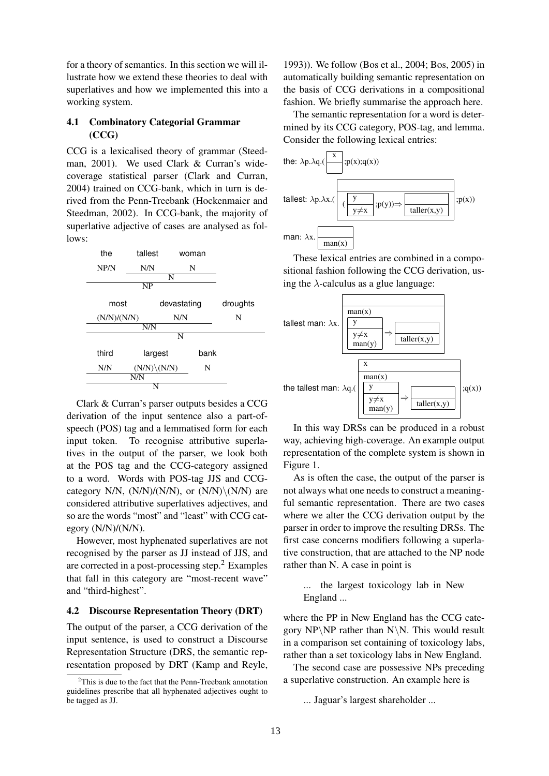for a theory of semantics. In this section we will illustrate how we extend these theories to deal with superlatives and how we implemented this into a working system.

### 4.1 Combinatory Categorial Grammar (CCG)

CCG is a lexicalised theory of grammar (Steedman, 2001). We used Clark & Curran's widecoverage statistical parser (Clark and Curran, 2004) trained on CCG-bank, which in turn is derived from the Penn-Treebank (Hockenmaier and Steedman, 2002). In CCG-bank, the majority of superlative adjective of cases are analysed as follows:



Clark & Curran's parser outputs besides a CCG derivation of the input sentence also a part-ofspeech (POS) tag and a lemmatised form for each input token. To recognise attributive superlatives in the output of the parser, we look both at the POS tag and the CCG-category assigned to a word. Words with POS-tag JJS and CCGcategory N/N,  $(N/N)/(N/N)$ , or  $(N/N)/(N/N)$  are considered attributive superlatives adjectives, and so are the words "most" and "least" with CCG category (N/N)/(N/N).

However, most hyphenated superlatives are not recognised by the parser as JJ instead of JJS, and are corrected in a post-processing step.<sup>2</sup> Examples that fall in this category are "most-recent wave" and "third-highest".

### 4.2 Discourse Representation Theory (DRT)

The output of the parser, a CCG derivation of the input sentence, is used to construct a Discourse Representation Structure (DRS, the semantic representation proposed by DRT (Kamp and Reyle, 1993)). We follow (Bos et al., 2004; Bos, 2005) in automatically building semantic representation on the basis of CCG derivations in a compositional fashion. We briefly summarise the approach here.

The semantic representation for a word is determined by its CCG category, POS-tag, and lemma. Consider the following lexical entries:



These lexical entries are combined in a compositional fashion following the CCG derivation, using the  $\lambda$ -calculus as a glue language:



In this way DRSs can be produced in a robust way, achieving high-coverage. An example output representation of the complete system is shown in Figure 1.

As is often the case, the output of the parser is not always what one needs to construct a meaningful semantic representation. There are two cases where we alter the CCG derivation output by the parser in order to improve the resulting DRSs. The first case concerns modifiers following a superlative construction, that are attached to the NP node rather than N. A case in point is

... the largest toxicology lab in New England ...

where the PP in New England has the CCG category  $NP\NP$  rather than  $N\N$ . This would result in a comparison set containing of toxicology labs, rather than a set toxicology labs in New England.

The second case are possessive NPs preceding a superlative construction. An example here is

... Jaguar's largest shareholder ...

 $2$ This is due to the fact that the Penn-Treebank annotation guidelines prescribe that all hyphenated adjectives ought to be tagged as JJ.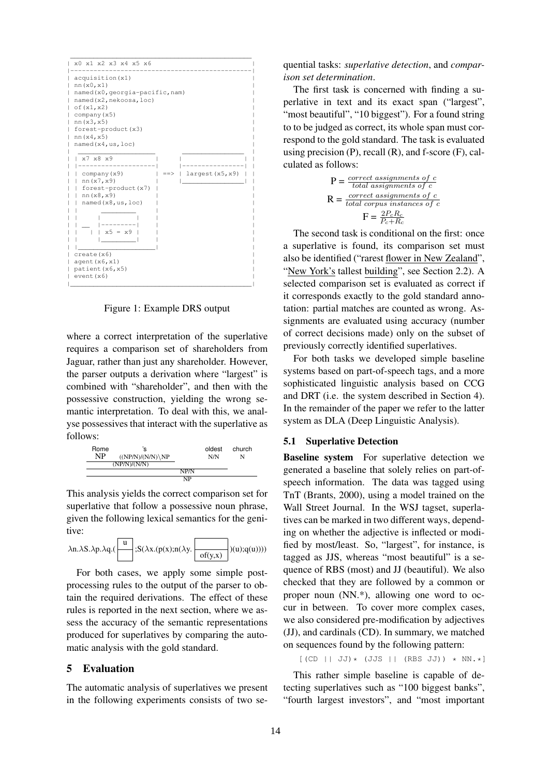

Figure 1: Example DRS output

where a correct interpretation of the superlative requires a comparison set of shareholders from Jaguar, rather than just any shareholder. However, the parser outputs a derivation where "largest" is combined with "shareholder", and then with the possessive construction, yielding the wrong semantic interpretation. To deal with this, we analyse possessives that interact with the superlative as follows:



This analysis yields the correct comparison set for superlative that follow a possessive noun phrase, given the following lexical semantics for the genitive:

$$
\lambda n.\lambda S.\lambda p.\lambda q.(\begin{array}{|c|}\hline u\\ \hline \end{array});S(\lambda x.(p(x);n(\lambda y.\begin{array}{|c|}\hline \\ \hline \end{array})(u);q(u))))
$$

For both cases, we apply some simple postprocessing rules to the output of the parser to obtain the required derivations. The effect of these rules is reported in the next section, where we assess the accuracy of the semantic representations produced for superlatives by comparing the automatic analysis with the gold standard.

#### 5 Evaluation

The automatic analysis of superlatives we present in the following experiments consists of two sequential tasks: *superlative detection*, and *comparison set determination*.

The first task is concerned with finding a superlative in text and its exact span ("largest", "most beautiful", "10 biggest"). For a found string to to be judged as correct, its whole span must correspond to the gold standard. The task is evaluated using precision  $(P)$ , recall  $(R)$ , and f-score  $(F)$ , calculated as follows:

$$
P = \frac{correct \ assignments \ of \ c}{total \ assignments \ of \ c}
$$
\n
$$
R = \frac{correct \ assignments \ of \ c}{total \ corpus \ instances \ of \ c}
$$
\n
$$
F = \frac{2P_cR_c}{P_c+R_c}
$$

The second task is conditional on the first: once a superlative is found, its comparison set must also be identified ("rarest flower in New Zealand", "New York's tallest building", see Section 2.2). A selected comparison set is evaluated as correct if it corresponds exactly to the gold standard annotation: partial matches are counted as wrong. Assignments are evaluated using accuracy (number of correct decisions made) only on the subset of previously correctly identified superlatives.

For both tasks we developed simple baseline systems based on part-of-speech tags, and a more sophisticated linguistic analysis based on CCG and DRT (i.e. the system described in Section 4). In the remainder of the paper we refer to the latter system as DLA (Deep Linguistic Analysis).

#### 5.1 Superlative Detection

Baseline system For superlative detection we generated a baseline that solely relies on part-ofspeech information. The data was tagged using TnT (Brants, 2000), using a model trained on the Wall Street Journal. In the WSJ tagset, superlatives can be marked in two different ways, depending on whether the adjective is inflected or modified by most/least. So, "largest", for instance, is tagged as JJS, whereas "most beautiful" is a sequence of RBS (most) and JJ (beautiful). We also checked that they are followed by a common or proper noun (NN.\*), allowing one word to occur in between. To cover more complex cases, we also considered pre-modification by adjectives (JJ), and cardinals (CD). In summary, we matched on sequences found by the following pattern:

 $[(CD || JJ)*(JJS || (RBS JJ)) * NN.*]$ 

This rather simple baseline is capable of detecting superlatives such as "100 biggest banks", "fourth largest investors", and "most important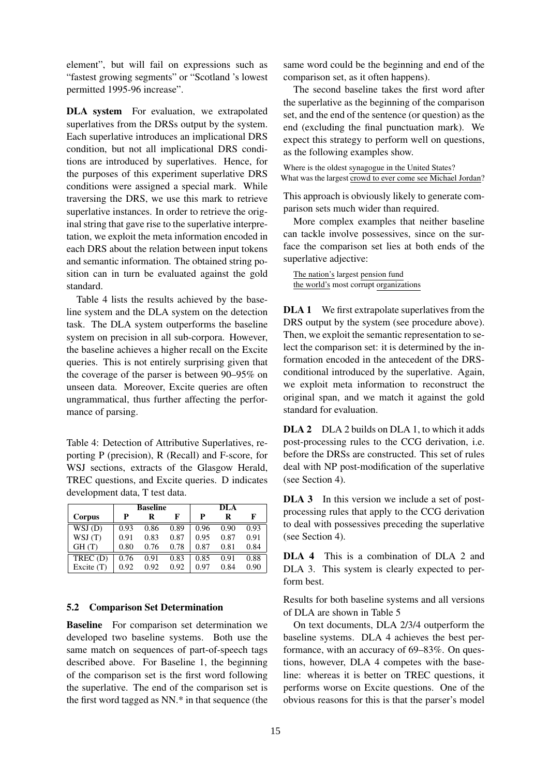element", but will fail on expressions such as "fastest growing segments" or "Scotland 's lowest permitted 1995-96 increase".

DLA system For evaluation, we extrapolated superlatives from the DRSs output by the system. Each superlative introduces an implicational DRS condition, but not all implicational DRS conditions are introduced by superlatives. Hence, for the purposes of this experiment superlative DRS conditions were assigned a special mark. While traversing the DRS, we use this mark to retrieve superlative instances. In order to retrieve the original string that gave rise to the superlative interpretation, we exploit the meta information encoded in each DRS about the relation between input tokens and semantic information. The obtained string position can in turn be evaluated against the gold standard.

Table 4 lists the results achieved by the baseline system and the DLA system on the detection task. The DLA system outperforms the baseline system on precision in all sub-corpora. However, the baseline achieves a higher recall on the Excite queries. This is not entirely surprising given that the coverage of the parser is between 90–95% on unseen data. Moreover, Excite queries are often ungrammatical, thus further affecting the performance of parsing.

Table 4: Detection of Attributive Superlatives, reporting P (precision), R (Recall) and F-score, for WSJ sections, extracts of the Glasgow Herald, TREC questions, and Excite queries. D indicates development data, T test data.

|                               | <b>Baseline</b> |      |      | DLA  |      |      |  |
|-------------------------------|-----------------|------|------|------|------|------|--|
| Corpus                        | P               | R    | F    | P    | R    | F    |  |
| WSJ(D)                        | 0.93            | 0.86 | 0.89 | 0.96 | 0.90 | 0.93 |  |
| WSJ(T)                        | 0.91            | 0.83 | 0.87 | 0.95 | 0.87 | 0.91 |  |
| GH(T)                         | 0.80            | 0.76 | 0.78 | 0.87 | 0.81 | 0.84 |  |
| $\overline{\text{TRUEC}}$ (D) | 0.76            | 0.91 | 0.83 | 0.85 | 0.91 | 0.88 |  |
| Excite $(T)$                  | 0.92            | 0.92 | 0.92 | 0.97 | 0.84 | 0.90 |  |

#### 5.2 Comparison Set Determination

Baseline For comparison set determination we developed two baseline systems. Both use the same match on sequences of part-of-speech tags described above. For Baseline 1, the beginning of the comparison set is the first word following the superlative. The end of the comparison set is the first word tagged as NN.\* in that sequence (the same word could be the beginning and end of the comparison set, as it often happens).

The second baseline takes the first word after the superlative as the beginning of the comparison set, and the end of the sentence (or question) as the end (excluding the final punctuation mark). We expect this strategy to perform well on questions, as the following examples show.

Where is the oldest synagogue in the United States? What was the largest crowd to ever come see Michael Jordan?

This approach is obviously likely to generate comparison sets much wider than required.

More complex examples that neither baseline can tackle involve possessives, since on the surface the comparison set lies at both ends of the superlative adjective:

The nation's largest pension fund the world's most corrupt organizations

**DLA 1** We first extrapolate superlatives from the DRS output by the system (see procedure above). Then, we exploit the semantic representation to select the comparison set: it is determined by the information encoded in the antecedent of the DRSconditional introduced by the superlative. Again, we exploit meta information to reconstruct the original span, and we match it against the gold standard for evaluation.

DLA 2 DLA 2 builds on DLA 1, to which it adds post-processing rules to the CCG derivation, i.e. before the DRSs are constructed. This set of rules deal with NP post-modification of the superlative (see Section 4).

DLA 3 In this version we include a set of postprocessing rules that apply to the CCG derivation to deal with possessives preceding the superlative (see Section 4).

DLA 4 This is a combination of DLA 2 and DLA 3. This system is clearly expected to perform best.

Results for both baseline systems and all versions of DLA are shown in Table 5

On text documents, DLA 2/3/4 outperform the baseline systems. DLA 4 achieves the best performance, with an accuracy of 69–83%. On questions, however, DLA 4 competes with the baseline: whereas it is better on TREC questions, it performs worse on Excite questions. One of the obvious reasons for this is that the parser's model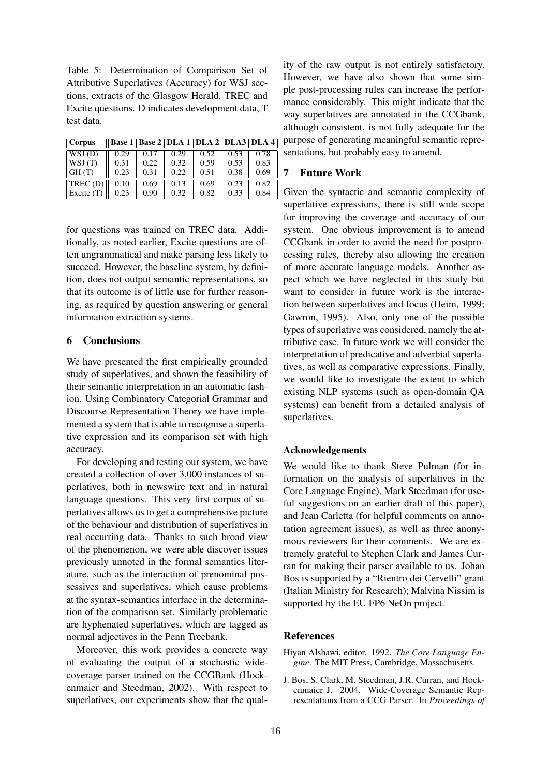Table 5: Determination of Comparison Set of Attributive Superlatives (Accuracy) for WSJ sections, extracts of the Glasgow Herald, TREC and Excite questions. D indicates development data, T test data.

| <b>Corpus</b> | Base 1   Base 2   DLA 1   DLA 2   DLA3   DLA 4 |      |      |      |      |      |
|---------------|------------------------------------------------|------|------|------|------|------|
| WSJ(D)        | 0.29                                           | 0.17 | 0.29 | 0.52 | 0.53 | 0.78 |
| WSJ(T)        | 0.31                                           | 0.22 | 0.32 | 0.59 | 0.53 | 0.83 |
| GH(T)         | 0.23                                           | 0.31 | 0.22 | 0.51 | 0.38 | 0.69 |
| TREC(D)       | 0.10                                           | 0.69 | 0.13 | 0.69 | 0.23 | 0.82 |
| Excite $(T)$  | 0.23                                           | 0.90 | 0.32 | 0.82 | 0.33 | 0.84 |

for questions was trained on TREC data. Additionally, as noted earlier, Excite questions are often ungrammatical and make parsing less likely to succeed. However, the baseline system, by definition, does not output semantic representations, so that its outcome is of little use for further reasoning, as required by question answering or general information extraction systems.

# 6 Conclusions

We have presented the first empirically grounded study of superlatives, and shown the feasibility of their semantic interpretation in an automatic fashion. Using Combinatory Categorial Grammar and Discourse Representation Theory we have implemented a system that is able to recognise a superlative expression and its comparison set with high accuracy.

For developing and testing our system, we have created a collection of over 3,000 instances of superlatives, both in newswire text and in natural language questions. This very first corpus of superlatives allows us to get a comprehensive picture of the behaviour and distribution of superlatives in real occurring data. Thanks to such broad view of the phenomenon, we were able discover issues previously unnoted in the formal semantics literature, such as the interaction of prenominal possessives and superlatives, which cause problems at the syntax-semantics interface in the determination of the comparison set. Similarly problematic are hyphenated superlatives, which are tagged as normal adjectives in the Penn Treebank.

Moreover, this work provides a concrete way of evaluating the output of a stochastic widecoverage parser trained on the CCGBank (Hockenmaier and Steedman, 2002). With respect to superlatives, our experiments show that the quality of the raw output is not entirely satisfactory. However, we have also shown that some simple post-processing rules can increase the performance considerably. This might indicate that the way superlatives are annotated in the CCGbank, although consistent, is not fully adequate for the purpose of generating meaningful semantic representations, but probably easy to amend.

## 7 Future Work

Given the syntactic and semantic complexity of superlative expressions, there is still wide scope for improving the coverage and accuracy of our system. One obvious improvement is to amend CCGbank in order to avoid the need for postprocessing rules, thereby also allowing the creation of more accurate language models. Another aspect which we have neglected in this study but want to consider in future work is the interaction between superlatives and focus (Heim, 1999; Gawron, 1995). Also, only one of the possible types of superlative was considered, namely the attributive case. In future work we will consider the interpretation of predicative and adverbial superlatives, as well as comparative expressions. Finally, we would like to investigate the extent to which existing NLP systems (such as open-domain QA systems) can benefit from a detailed analysis of superlatives.

### Acknowledgements

We would like to thank Steve Pulman (for information on the analysis of superlatives in the Core Language Engine), Mark Steedman (for useful suggestions on an earlier draft of this paper), and Jean Carletta (for helpful comments on annotation agreement issues), as well as three anonymous reviewers for their comments. We are extremely grateful to Stephen Clark and James Curran for making their parser available to us. Johan Bos is supported by a "Rientro dei Cervelli" grant (Italian Ministry for Research); Malvina Nissim is supported by the EU FP6 NeOn project.

#### References

- Hiyan Alshawi, editor. 1992. *The Core Language Engine*. The MIT Press, Cambridge, Massachusetts.
- J. Bos, S. Clark, M. Steedman, J.R. Curran, and Hockenmaier J. 2004. Wide-Coverage Semantic Representations from a CCG Parser. In *Proceedings of*